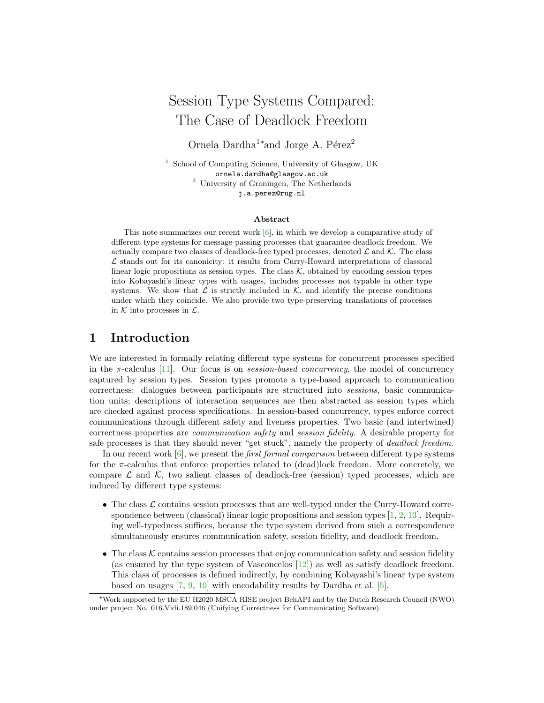# Session Type Systems Compared: The Case of Deadlock Freedom

Ornela Dardha<sup>1</sup>\*and Jorge A. Pérez<sup>2</sup>

<sup>1</sup> School of Computing Science, University of Glasgow, UK ornela.dardha@glasgow.ac.uk <sup>2</sup> University of Groningen, The Netherlands j.a.perez@rug.nl

#### Abstract

This note summarizes our recent work [\[6\]](#page-2-0), in which we develop a comparative study of different type systems for message-passing processes that guarantee deadlock freedom. We actually compare two classes of deadlock-free typed processes, denoted  $\mathcal L$  and  $\mathcal K$ . The class  $\mathcal L$  stands out for its canonicity: it results from Curry-Howard interpretations of classical linear logic propositions as session types. The class  $K$ , obtained by encoding session types into Kobayashi's linear types with usages, includes processes not typable in other type systems. We show that  $\mathcal L$  is strictly included in  $\mathcal K$ , and identify the precise conditions under which they coincide. We also provide two type-preserving translations of processes in  $K$  into processes in  $\mathcal{L}$ .

### 1 Introduction

We are interested in formally relating different type systems for concurrent processes specified in the  $\pi$ -calculus [\[11\]](#page-2-1). Our focus is on *session-based concurrency*, the model of concurrency captured by session types. Session types promote a type-based approach to communication correctness: dialogues between participants are structured into sessions, basic communication units; descriptions of interaction sequences are then abstracted as session types which are checked against process specifications. In session-based concurrency, types enforce correct communications through different safety and liveness properties. Two basic (and intertwined) correctness properties are communication safety and session fidelity. A desirable property for safe processes is that they should never "get stuck", namely the property of deadlock freedom.

In our recent work  $[6]$ , we present the *first formal comparison* between different type systems for the  $\pi$ -calculus that enforce properties related to (dead) lock freedom. More concretely, we compare  $\mathcal L$  and  $\mathcal K$ , two salient classes of deadlock-free (session) typed processes, which are induced by different type systems:

- The class  $\mathcal L$  contains session processes that are well-typed under the Curry-Howard correspondence between (classical) linear logic propositions and session types  $[1, 2, 13]$  $[1, 2, 13]$  $[1, 2, 13]$  $[1, 2, 13]$ . Requiring well-typedness suffices, because the type system derived from such a correspondence simultaneously ensures communication safety, session fidelity, and deadlock freedom.
- The class  $K$  contains session processes that enjoy communication safety and session fidelity (as ensured by the type system of Vasconcelos [\[12\]](#page-2-5)) as well as satisfy deadlock freedom. This class of processes is defined indirectly, by combining Kobayashi's linear type system based on usages [\[7,](#page-2-6) [9,](#page-2-7) [10\]](#page-2-8) with encodability results by Dardha et al. [\[5\]](#page-2-9).

<sup>∗</sup>Work supported by the EU H2020 MSCA RISE project BehAPI and by the Dutch Research Council (NWO) under project No. 016.Vidi.189.046 (Unifying Correctness for Communicating Software).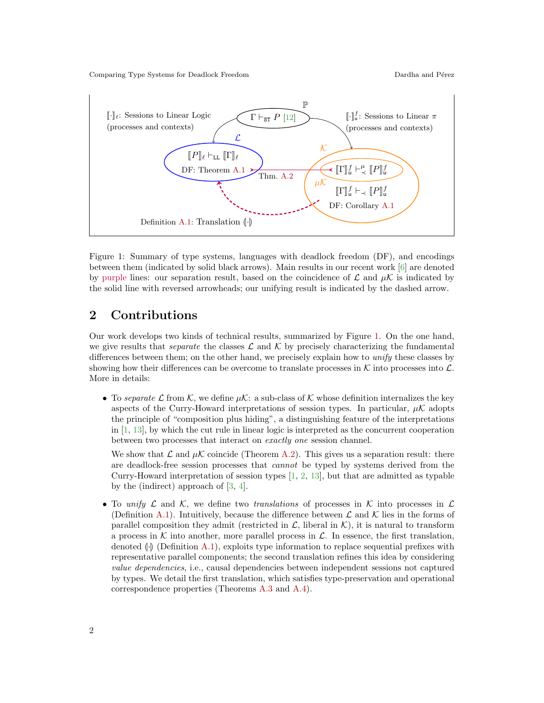

<span id="page-1-0"></span>Figure 1: Summary of type systems, languages with deadlock freedom (DF), and encodings between them (indicated by solid black arrows). Main results in our recent work [\[6\]](#page-2-0) are denoted by purple lines: our separation result, based on the coincidence of  $\mathcal L$  and  $\mu \mathcal K$  is indicated by the solid line with reversed arrowheads; our unifying result is indicated by the dashed arrow.

## 2 Contributions

Our work develops two kinds of technical results, summarized by Figure [1.](#page-1-0) On the one hand, we give results that *separate* the classes  $\mathcal L$  and  $\mathcal K$  by precisely characterizing the fundamental differences between them; on the other hand, we precisely explain how to unify these classes by showing how their differences can be overcome to translate processes in  $K$  into processes into  $\mathcal{L}$ . More in details:

• To separate L from K, we define  $\mu$ K: a sub-class of K whose definition internalizes the key aspects of the Curry-Howard interpretations of session types. In particular,  $\mu\mathcal{K}$  adopts the principle of "composition plus hiding", a distinguishing feature of the interpretations in  $[1, 13]$  $[1, 13]$ , by which the cut rule in linear logic is interpreted as the concurrent cooperation between two processes that interact on exactly one session channel.

We show that  $\mathcal L$  and  $\mu \mathcal K$  coincide (Theorem [A.2\)](#page-2-12). This gives us a separation result: there are deadlock-free session processes that cannot be typed by systems derived from the Curry-Howard interpretation of session types [\[1,](#page-2-2) [2,](#page-2-3) [13\]](#page-2-4), but that are admitted as typable by the (indirect) approach of [\[3,](#page-2-14) [4\]](#page-2-15).

• To unify  $\mathcal L$  and  $\mathcal K$ , we define two translations of processes in  $\mathcal K$  into processes in  $\mathcal L$ (Definition [A.1\)](#page-2-13). Intuitively, because the difference between  $\mathcal L$  and  $\mathcal K$  lies in the forms of parallel composition they admit (restricted in  $\mathcal{L}$ , liberal in  $\mathcal{K}$ ), it is natural to transform a process in  $K$  into another, more parallel process in  $\mathcal{L}$ . In essence, the first translation, denoted  $\langle \cdot \rangle$  (Definition [A.1\)](#page-2-13), exploits type information to replace sequential prefixes with representative parallel components; the second translation refines this idea by considering value dependencies, i.e., causal dependencies between independent sessions not captured by types. We detail the first translation, which satisfies type-preservation and operational correspondence properties (Theorems [A.3](#page-3-0) and [A.4\)](#page-3-1).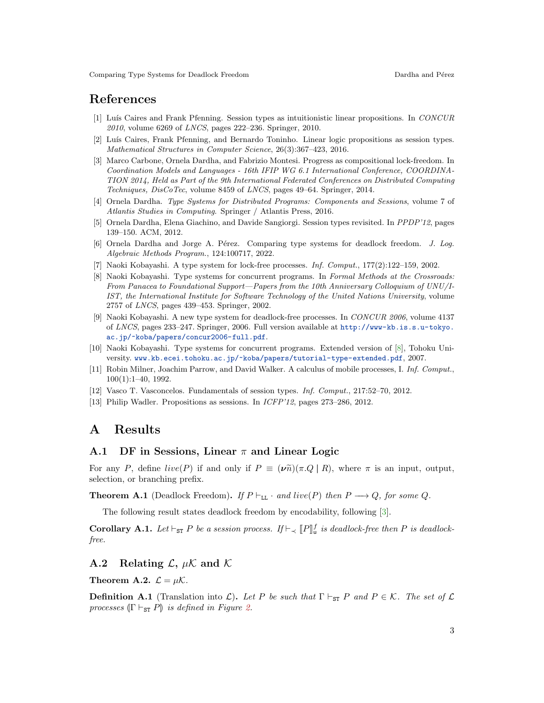## References

- <span id="page-2-2"></span>[1] Luís Caires and Frank Pfenning. Session types as intuitionistic linear propositions. In CONCUR 2010, volume 6269 of LNCS, pages 222–236. Springer, 2010.
- <span id="page-2-3"></span>[2] Luís Caires, Frank Pfenning, and Bernardo Toninho. Linear logic propositions as session types. Mathematical Structures in Computer Science, 26(3):367–423, 2016.
- <span id="page-2-14"></span>[3] Marco Carbone, Ornela Dardha, and Fabrizio Montesi. Progress as compositional lock-freedom. In Coordination Models and Languages - 16th IFIP WG 6.1 International Conference, COORDINA-TION 2014, Held as Part of the 9th International Federated Conferences on Distributed Computing Techniques, DisCoTec, volume 8459 of LNCS, pages 49–64. Springer, 2014.
- <span id="page-2-15"></span>[4] Ornela Dardha. Type Systems for Distributed Programs: Components and Sessions, volume 7 of Atlantis Studies in Computing. Springer / Atlantis Press, 2016.
- <span id="page-2-9"></span>[5] Ornela Dardha, Elena Giachino, and Davide Sangiorgi. Session types revisited. In PPDP'12, pages 139–150. ACM, 2012.
- <span id="page-2-0"></span>[6] Ornela Dardha and Jorge A. Pérez. Comparing type systems for deadlock freedom. J. Log. Algebraic Methods Program., 124:100717, 2022.
- <span id="page-2-6"></span>[7] Naoki Kobayashi. A type system for lock-free processes. Inf. Comput., 177(2):122–159, 2002.
- <span id="page-2-16"></span>[8] Naoki Kobayashi. Type systems for concurrent programs. In Formal Methods at the Crossroads: From Panacea to Foundational Support—Papers from the 10th Anniversary Colloquium of UNU/I-IST, the International Institute for Software Technology of the United Nations University, volume 2757 of LNCS, pages 439–453. Springer, 2002.
- <span id="page-2-7"></span>[9] Naoki Kobayashi. A new type system for deadlock-free processes. In CONCUR 2006, volume 4137 of LNCS, pages 233–247. Springer, 2006. Full version available at [http://www-kb.is.s.u-tokyo.](http://www-kb.is.s.u-tokyo.ac.jp/~koba/papers/concur2006-full.pdf) [ac.jp/~koba/papers/concur2006-full.pdf](http://www-kb.is.s.u-tokyo.ac.jp/~koba/papers/concur2006-full.pdf).
- <span id="page-2-8"></span>[10] Naoki Kobayashi. Type systems for concurrent programs. Extended version of [\[8\]](#page-2-16), Tohoku University. <www.kb.ecei.tohoku.ac.jp/~koba/papers/tutorial-type-extended.pdf>, 2007.
- <span id="page-2-1"></span>[11] Robin Milner, Joachim Parrow, and David Walker. A calculus of mobile processes, I. Inf. Comput., 100(1):1–40, 1992.
- <span id="page-2-5"></span>[12] Vasco T. Vasconcelos. Fundamentals of session types. Inf. Comput., 217:52–70, 2012.
- <span id="page-2-4"></span>[13] Philip Wadler. Propositions as sessions. In ICFP'12, pages 273–286, 2012.

## A Results

#### A.1 DF in Sessions, Linear  $\pi$  and Linear Logic

For any P, define live(P) if and only if  $P \equiv (\nu \tilde{n})(\pi . Q \mid R)$ , where  $\pi$  is an input, output, selection, or branching prefix.

<span id="page-2-10"></span>**Theorem A.1** (Deadlock Freedom). If  $P \vdash_{\text{LL}} \cdot \text{and live}(P)$  then  $P \longrightarrow Q$ , for some Q.

The following result states deadlock freedom by encodability, following [\[3\]](#page-2-14).

<span id="page-2-11"></span>**Corollary A.1.** Let  $\vdash_{ST} P$  be a session process. If  $\vdash_{\prec} [P]^f_u$  is deadlock-free then P is deadlock-free free.

#### A.2 Relating  $\mathcal{L}$ ,  $\mu \mathcal{K}$  and  $\mathcal{K}$

<span id="page-2-12"></span>Theorem A.2.  $\mathcal{L} = \mu \mathcal{K}$ .

<span id="page-2-13"></span>**Definition A.1** (Translation into  $\mathcal{L}$ ). Let P be such that  $\Gamma \vdash_{ST} P$  and  $P \in \mathcal{K}$ . The set of  $\mathcal{L}$ processes  $(\Gamma \vdash_{\text{ST}} P)$  is defined in Figure [2.](#page-3-2)